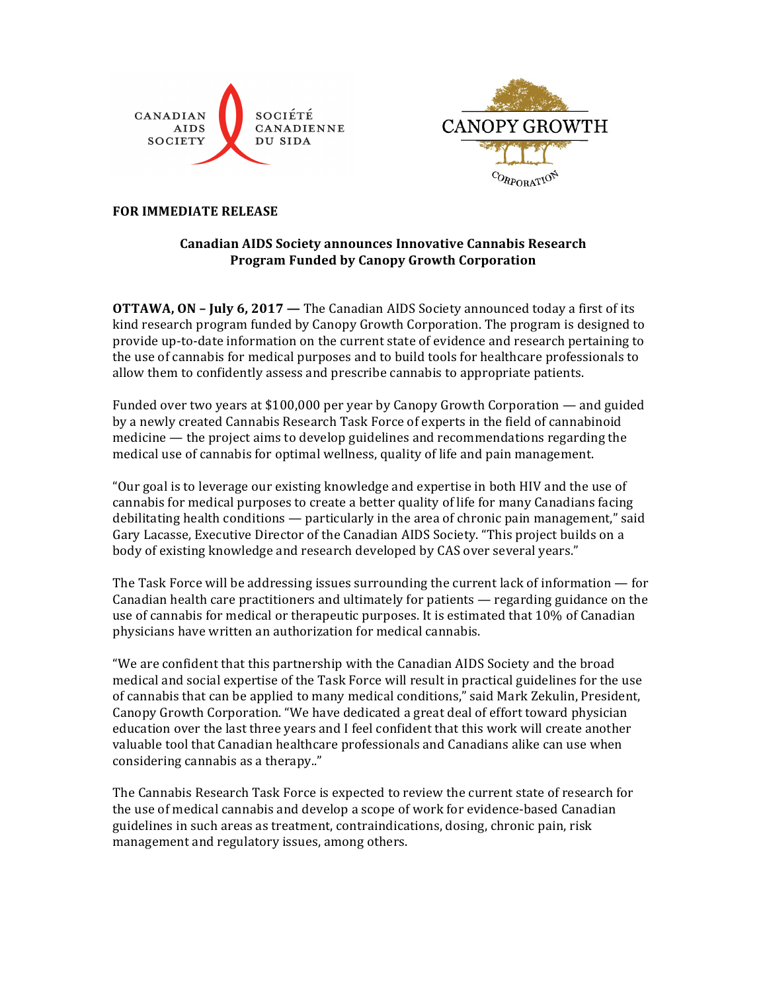



### **FOR IMMEDIATE RELEASE**

# **Canadian AIDS Society announces Innovative Cannabis Research Program Funded by Canopy Growth Corporation**

**OTTAWA, ON – July 6, 2017 — The Canadian AIDS Society announced today a first of its** kind research program funded by Canopy Growth Corporation. The program is designed to provide up-to-date information on the current state of evidence and research pertaining to the use of cannabis for medical purposes and to build tools for healthcare professionals to allow them to confidently assess and prescribe cannabis to appropriate patients.

Funded over two years at \$100,000 per year by Canopy Growth Corporation — and guided by a newly created Cannabis Research Task Force of experts in the field of cannabinoid medicine  $-$  the project aims to develop guidelines and recommendations regarding the medical use of cannabis for optimal wellness, quality of life and pain management.

"Our goal is to leverage our existing knowledge and expertise in both HIV and the use of cannabis for medical purposes to create a better quality of life for many Canadians facing debilitating health conditions  $-$  particularly in the area of chronic pain management," said Gary Lacasse, Executive Director of the Canadian AIDS Society. "This project builds on a body of existing knowledge and research developed by CAS over several years."

The Task Force will be addressing issues surrounding the current lack of information  $-$  for Canadian health care practitioners and ultimately for patients  $-$  regarding guidance on the use of cannabis for medical or therapeutic purposes. It is estimated that 10% of Canadian physicians have written an authorization for medical cannabis.

"We are confident that this partnership with the Canadian AIDS Society and the broad medical and social expertise of the Task Force will result in practical guidelines for the use of cannabis that can be applied to many medical conditions," said Mark Zekulin, President, Canopy Growth Corporation. "We have dedicated a great deal of effort toward physician education over the last three years and I feel confident that this work will create another valuable tool that Canadian healthcare professionals and Canadians alike can use when considering cannabis as a therapy.."

The Cannabis Research Task Force is expected to review the current state of research for the use of medical cannabis and develop a scope of work for evidence-based Canadian guidelines in such areas as treatment, contraindications, dosing, chronic pain, risk management and regulatory issues, among others.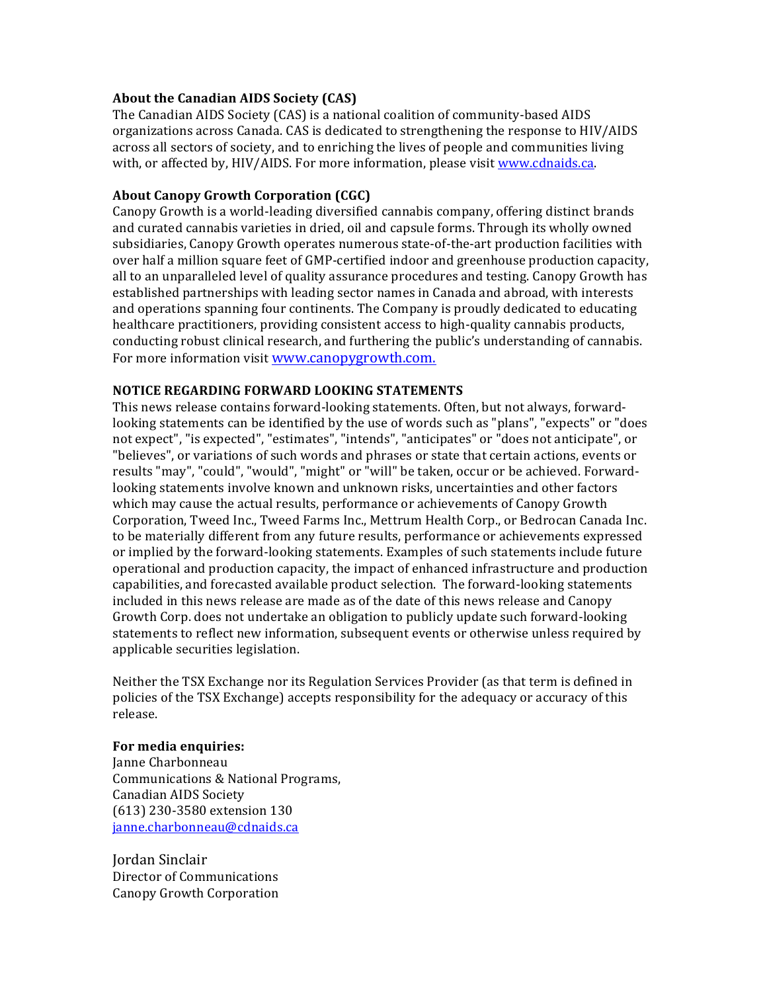### About the Canadian AIDS Society (CAS)

The Canadian AIDS Society (CAS) is a national coalition of community-based AIDS organizations across Canada. CAS is dedicated to strengthening the response to HIV/AIDS across all sectors of society, and to enriching the lives of people and communities living with, or affected by, HIV/AIDS. For more information, please visit www.cdnaids.ca.

## **About Canopy Growth Corporation (CGC)**

Canopy Growth is a world-leading diversified cannabis company, offering distinct brands and curated cannabis varieties in dried, oil and capsule forms. Through its wholly owned subsidiaries, Canopy Growth operates numerous state-of-the-art production facilities with over half a million square feet of GMP-certified indoor and greenhouse production capacity, all to an unparalleled level of quality assurance procedures and testing. Canopy Growth has established partnerships with leading sector names in Canada and abroad, with interests and operations spanning four continents. The Company is proudly dedicated to educating healthcare practitioners, providing consistent access to high-quality cannabis products, conducting robust clinical research, and furthering the public's understanding of cannabis. For more information visit www.canopygrowth.com.

## **NOTICE REGARDING FORWARD LOOKING STATEMENTS**

This news release contains forward-looking statements. Often, but not always, forwardlooking statements can be identified by the use of words such as "plans", "expects" or "does not expect", "is expected", "estimates", "intends", "anticipates" or "does not anticipate", or "believes", or variations of such words and phrases or state that certain actions, events or results "may", "could", "would", "might" or "will" be taken, occur or be achieved. Forwardlooking statements involve known and unknown risks, uncertainties and other factors which may cause the actual results, performance or achievements of Canopy Growth Corporation, Tweed Inc., Tweed Farms Inc., Mettrum Health Corp., or Bedrocan Canada Inc. to be materially different from any future results, performance or achievements expressed or implied by the forward-looking statements. Examples of such statements include future operational and production capacity, the impact of enhanced infrastructure and production capabilities, and forecasted available product selection. The forward-looking statements included in this news release are made as of the date of this news release and Canopy Growth Corp. does not undertake an obligation to publicly update such forward-looking statements to reflect new information, subsequent events or otherwise unless required by applicable securities legislation.

Neither the TSX Exchange nor its Regulation Services Provider (as that term is defined in policies of the TSX Exchange) accepts responsibility for the adequacy or accuracy of this release.

#### **For media enquiries:**

Janne Charbonneau Communications & National Programs, Canadian AIDS Society (613) 230-3580 extension 130 janne.charbonneau@cdnaids.ca

Jordan Sinclair Director of Communications Canopy Growth Corporation